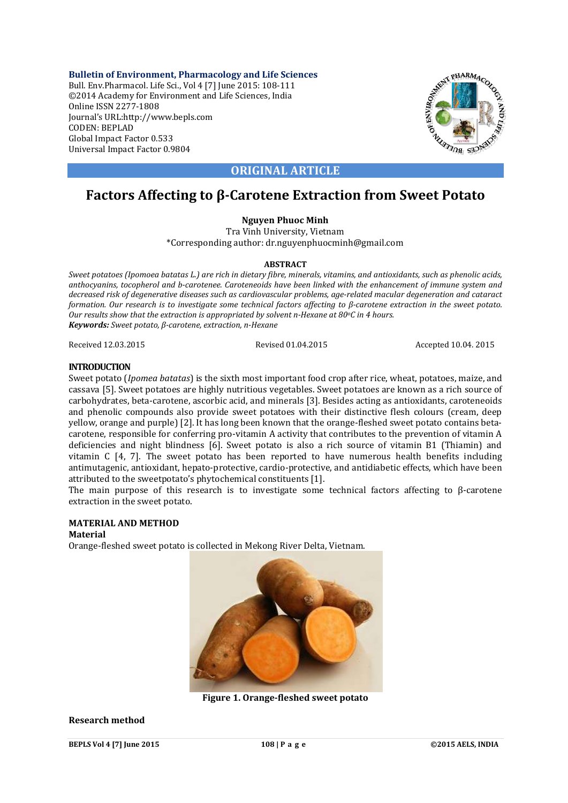**Bulletin of Environment, Pharmacology and Life Sciences** Bull. Env.Pharmacol. Life Sci., Vol 4 [7] June 2015: 108-111 ©2014 Academy for Environment and Life Sciences, India Online ISSN 2277-1808 Journal's URL:http://www.bepls.com CODEN: BEPLAD Global Impact Factor 0.533 Universal Impact Factor 0.9804



## **ORIGINAL ARTICLE**

# **Factors Affecting to β-Carotene Extraction from Sweet Potato**

## **Nguyen Phuoc Minh**

Tra Vinh University, Vietnam \*Corresponding author: dr.nguyenphuocminh@gmail.com

#### **ABSTRACT**

*Sweet potatoes (Ipomoea batatas L.) are rich in dietary fibre, minerals, vitamins, and antioxidants, such as phenolic acids, anthocyanins, tocopherol and b-carotenee. Caroteneoids have been linked with the enhancement of immune system and decreased risk of degenerative diseases such as cardiovascular problems, age-related macular degeneration and cataract formation. Our research is to investigate some technical factors affecting to β-carotene extraction in the sweet potato. Our results show that the extraction is appropriated by solvent n-Hexane at 80oC in 4 hours. Keywords: Sweet potato, β-carotene, extraction, n-Hexane*

Received 12.03.2015 Revised 01.04.2015 Accepted 10.04. 2015

#### **INTRODUCTION**

Sweet potato (*Ipomea batatas*) is the sixth most important food crop after rice, wheat, potatoes, maize, and cassava [5]. Sweet potatoes are highly nutritious vegetables. Sweet potatoes are known as a rich source of carbohydrates, beta-carotene, ascorbic acid, and minerals [3]. Besides acting as antioxidants, caroteneoids and phenolic compounds also provide sweet potatoes with their distinctive flesh colours (cream, deep yellow, orange and purple) [2]. It has long been known that the orange-fleshed sweet potato contains betacarotene, responsible for conferring pro-vitamin A activity that contributes to the prevention of vitamin A deficiencies and night blindness [6]. Sweet potato is also a rich source of vitamin B1 (Thiamin) and vitamin C [4, 7]. The sweet potato has been reported to have numerous health benefits including antimutagenic, antioxidant, hepato-protective, cardio-protective, and antidiabetic effects, which have been attributed to the sweetpotato's phytochemical constituents [1].

The main purpose of this research is to investigate some technical factors affecting to  $\beta$ -carotene extraction in the sweet potato.

### **MATERIAL AND METHOD**

#### **Material**

Orange-fleshed sweet potato is collected in Mekong River Delta, Vietnam.



**Figure 1. Orange-fleshed sweet potato**

#### **Research method**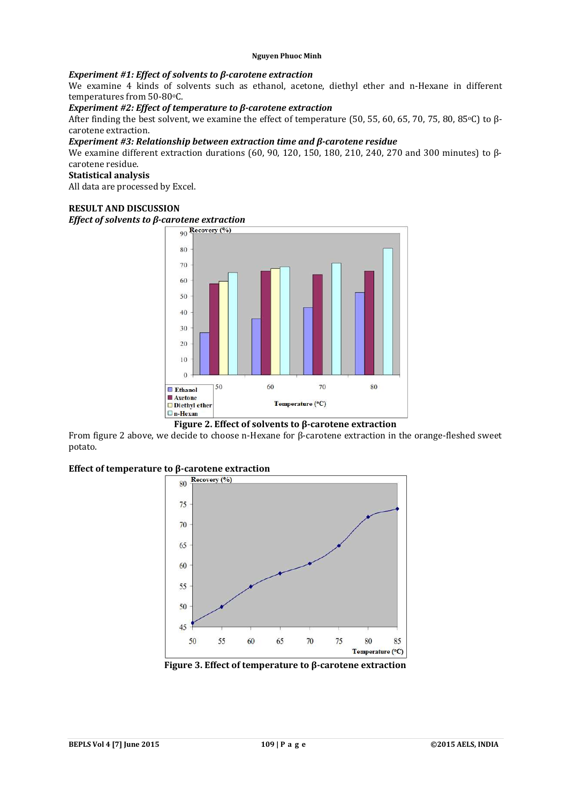### *Experiment #1: Effect of solvents to β-carotene extraction*

We examine 4 kinds of solvents such as ethanol, acetone, diethyl ether and n-Hexane in different temperatures from 50-80°C.

#### *Experiment #2: Effect of temperature to β-carotene extraction*

After finding the best solvent, we examine the effect of temperature (50, 55, 60, 65, 70, 75, 80, 85°C) to βcarotene extraction.

#### *Experiment #3: Relationship between extraction time and β-carotene residue*

We examine different extraction durations (60, 90, 120, 150, 180, 210, 240, 270 and 300 minutes) to βcarotene residue.

#### **Statistical analysis**

All data are processed by Excel.

#### **RESULT AND DISCUSSION**

# *Effect of solvents to β-carotene extraction*<br>
<u>
an Recovery (%)</u>



#### **Figure 2. Effect of solvents to β-carotene extraction**

From figure 2 above, we decide to choose n-Hexane for β-carotene extraction in the orange-fleshed sweet potato.

# **Effect of temperature to β-carotene extraction**<br> **Example 20**  $\frac{\text{Recovery}(\%)}{\text{Recovery}(\%)}$



**Figure 3. Effect of temperature to β-carotene extraction**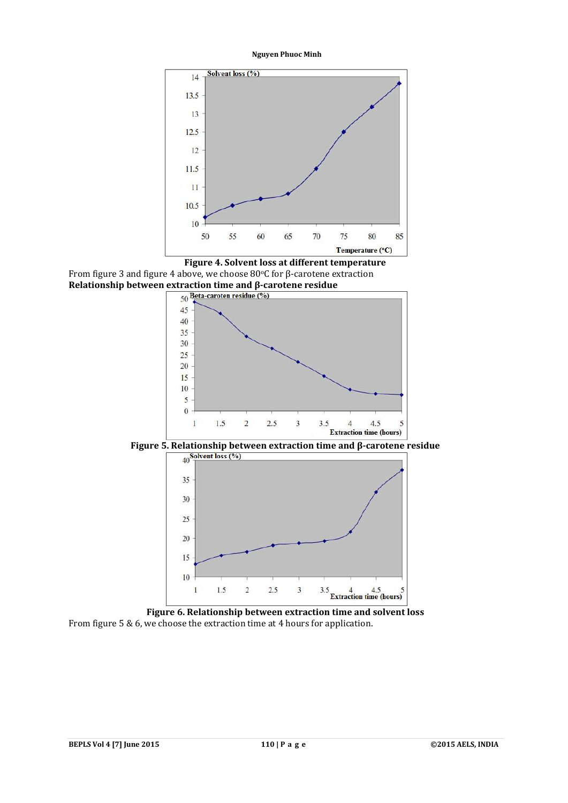**Nguyen Phuoc Minh**



**Figure 4. Solvent loss at different temperature** From figure 3 and figure 4 above, we choose 80°C for β-carotene extraction **Relationship between extraction time and β-carotene residue** 



**Figure 5. Relationship between extraction time and β-carotene residue**<br>  $\frac{40^{5} \text{e}^{\text{lvent loss}} (\%)}{40^{5} \text{e}^{\text{ltest loss}} (\%)}$ 



**Figure 6. Relationship between extraction time and solvent loss** From figure 5 & 6, we choose the extraction time at 4 hours for application.